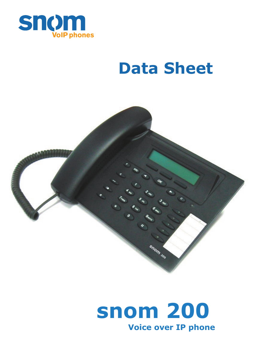

# **Data Sheet**



# **Voice over IP phone snom 200**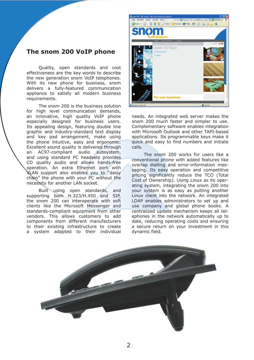### **The snom 200 VoIP phone**

Quality, open standards and cost effectiveness are the key words to describe the new generation snom VoIP telephones. With its new phone for business, snom delivers a fully-featured communication appliance to satisfy all modern business requirements.

The snom 200 is the business solution for high level communication demands, an innovative, high quality VoIP phone especially designed for business users. Its appealing design, featuring double line graphic and industry-standard text display and key pad arrangement, make using the phone intuitive, easy and ergonomic. Excellent sound quality is delivered through an AC97-compliant audio subsystem, and using standard PC headsets provides CD quality audio and allows hands-free operation. An extra Ethernet port with VLAN support also enables you to "daisy chain" the phone with your PC without the necessity for another LAN socket.

Built using open standards, and supporting both H.323/H.450 and SIP, the snom 200 can interoperate with soft clients like the Microsoft Messenger and standards-compliant equipment from other vendors. This allows customers to add components from different manufacturers to their existing infrastructure to create a system adapted to their individual



needs. An integrated web server makes the snom 200 much faster and simpler to use. Complementary software enables integration with Microsoft Outlook and other TAPI-based applications. Its programmable keys make it quick and easy to find numbers and initiate calls.

The snom 200 works for users like a conventional phone with added features like overlap dialling and error-information messaging. Its easy operation and competitive pricing significantly reduce the TCO (Total Cost of Ownership). Using Linux as its operating system, integrating the snom 200 into your system is as easy as putting another Linux client into the network. An integrated LDAP enables administrators to set up and use company and global phone books. A centralized update mechanism keeps all telephones in the network automatically up to date, reducing operating costs and ensuring a secure return on your investment in this dynamic field.

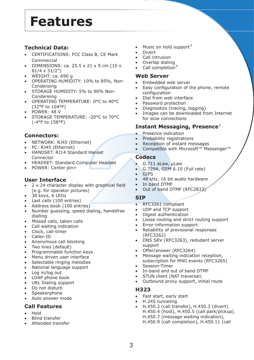## **Features**

### **Technical Data:**

- CERTIFICATIONS: FCC Class B, CE Mark Commercial
- DIMENSIONS: ca.  $25.5 \times 21 \times 9$  cm (10  $\times$ 81/4 x 31/2")
- WEIGHT: ca. 690 g
- ΟPERATING HUMIDITY: 10% to 85%, Non-Condensing
- STORAGE HUMIDITY: 5% to 90% Non-Condensing
- OPERATING TEMPERATURE: 0°C to 40°C (32°F to 104°F)
- POWER: 48 V
- STORAGE TEMPERATURE: -20°C to 70°C (-4°F to 158°F)

#### **Connectors:**

- NETWORK: RJ45 (Ethernet)
- PC: RJ45 (Ethernet)
- HANDSET: RJ14 Standard Hanset Connector
- HEADSET: Standard Computer Headset
- POWER: Center pin+

#### **User Interface**

- 2 x 24 character display with graphical field (e.g. for operator pictures)
- 30 keys, 6 LEDs
- Last calls (100 entries)
- Address book (100 entries)
- Number guessing, speed dialing, handsfree dialling
- Missed calls, taken calls
- Call waiting indication
- Clock, call-timer
- Caller-ID
- Anonymous call blocking
- Two lines (default)
- Programmable function keys
- Menu driven user interface
- Selectable ringing melodies
- National language support
- Log in/log out
- LDAP phone book
- URL Dialing support
- Do not disturb
- **Speakerphone**
- Αuto answer mode

#### **Call Features**

- Hold
- Blind transfer
- Attended transfer
- Music on hold support  $^{\dagger}$
- **Divert**
- Call intrusion
- Overlap dialing
- Call completion<sup>+</sup>

#### **Web Server**

- Embedded web server
- Easy configuration of the phone, remote configuration
- Dial from web interface
- Password protection
- Diagnostics (tracing, logging)
- Images can be downloaded from Internet for slow connections

#### **Instant Messaging, Presence**†

- Presence indication
- Probability registrations
- Receiption of instant messages
- Compatible with Microsoft™ Messenger™

#### **Codecs**

- G.711 aLaw, μLaw
- G.729A, GSM 6.10 (Full rate)
- **GIPS**
- 48 kHz, 16 bit audio hardware
- Ιn band DTMF
- Out of band DTMF (RFC2833)

#### **SIP**

- RFC3261 compliant
- UDP and TCP support
- Digest authentication
- Loose routing and strict routing support
- Error-information support
- Reliability of provisional responses (RFC3262)
- DNS SRV (RFC3263), redudant server support
- Offer/answer (RFC3264)
- Message waiting indication reception. subscription for MWI events (RFC3265)
- Session-Timer
- In-band and out of band DTMF
- STUN client (NAT traversal)
- Outbound proxy support, initial route

#### **H323**

- Fast start, early start
- H.245 tunneling
- H.450.2 (call transfer), H.450.3 (divert), H.450.4 (hold), H.450.5 (call park/pickup), H.450.7 (message waiting indication), H.450.9 (call completion), H.450.11 (call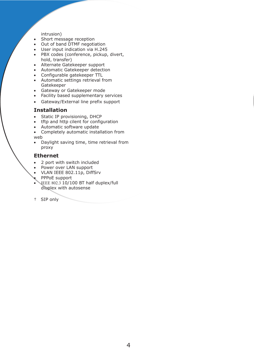#### intrusion)

- Short message reception
- Out of band DTMF negotiation
- User input indication via H.245
- PBX codes (conference, pickup, divert, hold, transfer)
- Alternate Gatekeeper support
- Automatic Gatekeeper detection
- Configurable gatekeeper TTL
- Automatic settings retrieval from Gatekeeper
- Gateway or Gatekeeper mode
- Facility based supplementary services
- Gateway/External line prefix support

#### **Ιnstallation**

- Static IP provisioning, DHCP
- tftp and http cilent for configuration
- Automatic software update
- Completely automatic installation from web
- Daylight saving time, time retrieval from proxy

#### **Ethernet**

- 2 port with switch included
- Power over LAN support
- VLAN IEEE 802.11p, DiffSrv
- PPPoE support
- $\sqrt{\text{IEEE } 802.3}$  10/100 BT half duplex/full diuplex with autosense

† SIP only